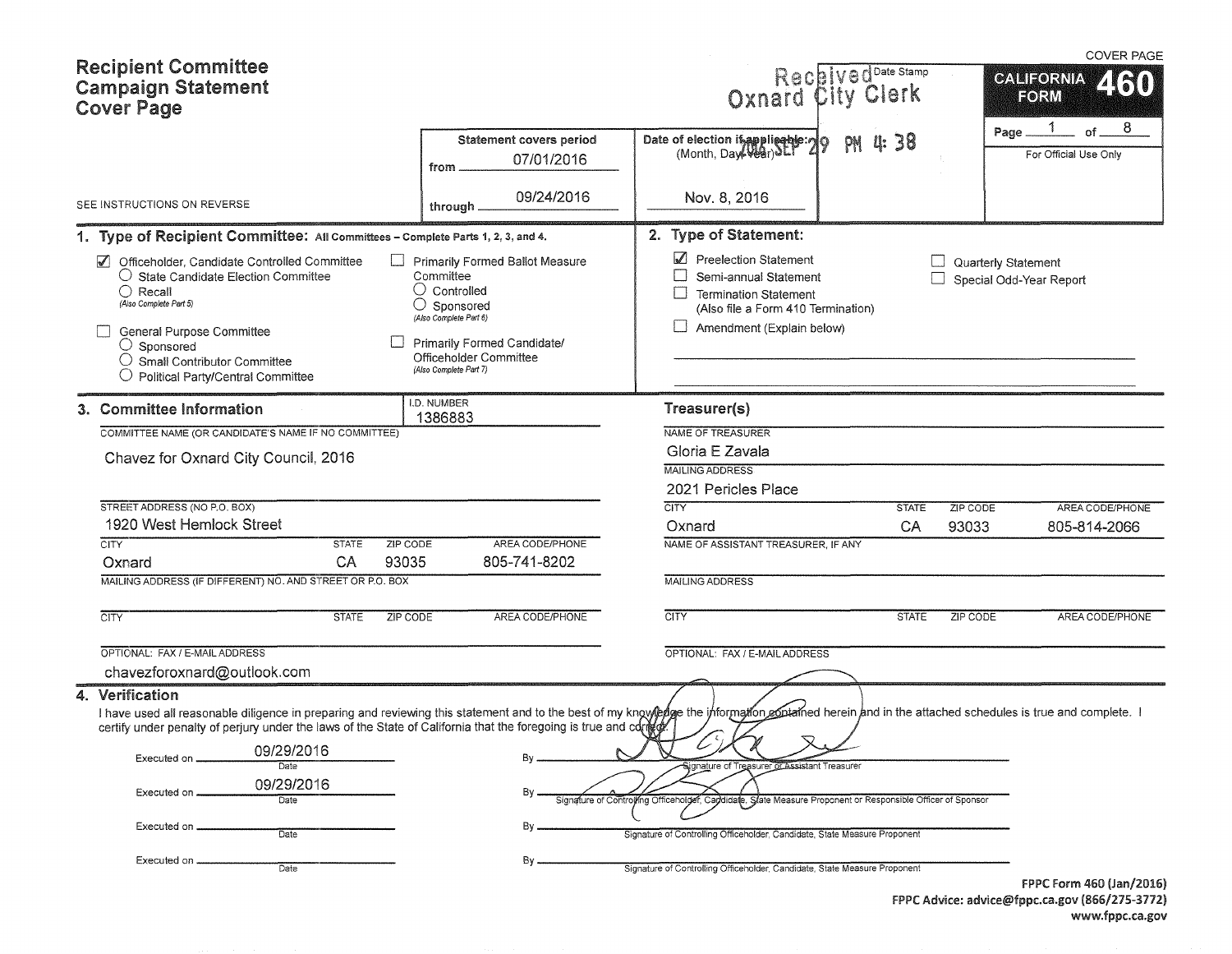| <b>Recipient Committee</b><br><b>Campaign Statement</b><br><b>Cover Page</b>                                                                                                                                                                                                                                                                                                                                                                                               |                                                                                                                                                                                                               | Received Date Stamp<br>Oxnard City Clerk                                                                                                                                                                                                                                                                                     |                          | <b>COVER PAGE</b><br><b>CALIFORNIA</b><br><b>ZKRO</b><br>FORM                     |
|----------------------------------------------------------------------------------------------------------------------------------------------------------------------------------------------------------------------------------------------------------------------------------------------------------------------------------------------------------------------------------------------------------------------------------------------------------------------------|---------------------------------------------------------------------------------------------------------------------------------------------------------------------------------------------------------------|------------------------------------------------------------------------------------------------------------------------------------------------------------------------------------------------------------------------------------------------------------------------------------------------------------------------------|--------------------------|-----------------------------------------------------------------------------------|
|                                                                                                                                                                                                                                                                                                                                                                                                                                                                            | <b>Statement covers period</b><br>07/01/2016<br>from                                                                                                                                                          | Date of election is applicable: 29<br>PH                                                                                                                                                                                                                                                                                     | <b>u: 38</b>             | 8<br>Page_<br>of $-$<br>For Official Use Only                                     |
| SEE INSTRUCTIONS ON REVERSE                                                                                                                                                                                                                                                                                                                                                                                                                                                | 09/24/2016<br>through                                                                                                                                                                                         | Nov. 8, 2016                                                                                                                                                                                                                                                                                                                 |                          |                                                                                   |
| 1. Type of Recipient Committee: All Committees - Complete Parts 1, 2, 3, and 4.                                                                                                                                                                                                                                                                                                                                                                                            |                                                                                                                                                                                                               | 2. Type of Statement:                                                                                                                                                                                                                                                                                                        |                          |                                                                                   |
| $\blacktriangledown$<br>Officeholder, Candidate Controlled Committee<br>$\bigcirc$ State Candidate Election Committee<br>$\bigcirc$ Recall<br>(Also Complete Part 5)<br>General Purpose Committee<br>$\bigcirc$ Sponsored<br>$\bigcirc$ Small Contributor Committee<br>$\bigcirc$ Political Party/Central Committee                                                                                                                                                        | <b>Primarily Formed Ballot Measure</b><br>Committee<br>$\cup$ Controlled<br>$\bigcirc$ Sponsored<br>(Also Complete Part 6)<br>Primarily Formed Candidate/<br>Officeholder Committee<br>(Also Complete Part 7) | Preelection Statement<br>Semi-annual Statement<br>$\Box$<br><b>Termination Statement</b><br>(Also file a Form 410 Termination)<br>Amendment (Explain below)                                                                                                                                                                  |                          | Quarterly Statement<br>Special Odd-Year Report                                    |
| 3. Committee Information                                                                                                                                                                                                                                                                                                                                                                                                                                                   | I.D. NUMBER<br>1386883                                                                                                                                                                                        | Treasurer(s)                                                                                                                                                                                                                                                                                                                 |                          |                                                                                   |
| COMMITTEE NAME (OR CANDIDATE'S NAME IF NO COMMITTEE)                                                                                                                                                                                                                                                                                                                                                                                                                       |                                                                                                                                                                                                               | NAME OF TREASURER                                                                                                                                                                                                                                                                                                            |                          |                                                                                   |
| Chavez for Oxnard City Council, 2016                                                                                                                                                                                                                                                                                                                                                                                                                                       |                                                                                                                                                                                                               | Gloria E Zavala<br><b>MAILING ADDRESS</b>                                                                                                                                                                                                                                                                                    |                          |                                                                                   |
| STREET ADDRESS (NO P.O. BOX)                                                                                                                                                                                                                                                                                                                                                                                                                                               |                                                                                                                                                                                                               | 2021 Pericles Place<br><b>CITY</b>                                                                                                                                                                                                                                                                                           | ZIP CODE<br><b>STATE</b> | AREA CODE/PHONE                                                                   |
| 1920 West Hemlock Street                                                                                                                                                                                                                                                                                                                                                                                                                                                   |                                                                                                                                                                                                               | Oxnard                                                                                                                                                                                                                                                                                                                       | CA<br>93033              | 805-814-2066                                                                      |
| <b>CITY</b><br><b>STATE</b><br>ZIP CODE<br>CA<br>93035<br>Oxnard                                                                                                                                                                                                                                                                                                                                                                                                           | AREA CODE/PHONE<br>805-741-8202                                                                                                                                                                               | NAME OF ASSISTANT TREASURER. IF ANY                                                                                                                                                                                                                                                                                          |                          |                                                                                   |
| MAILING ADDRESS (IF DIFFERENT) NO. AND STREET OR P.O. BOX                                                                                                                                                                                                                                                                                                                                                                                                                  |                                                                                                                                                                                                               | <b>MAILING ADDRESS</b>                                                                                                                                                                                                                                                                                                       |                          |                                                                                   |
| <b>CITY</b><br><b>STATE</b><br><b>ZIP CODE</b>                                                                                                                                                                                                                                                                                                                                                                                                                             | AREA CODE/PHONE                                                                                                                                                                                               | <b>CITY</b>                                                                                                                                                                                                                                                                                                                  | <b>STATE</b><br>ZIP CODE | AREA CODE/PHONE                                                                   |
| OPTIONAL: FAX / E-MAIL ADDRESS<br>chavezforoxnard@outlook.com                                                                                                                                                                                                                                                                                                                                                                                                              |                                                                                                                                                                                                               | OPTIONAL: FAX / E-MAIL ADDRESS                                                                                                                                                                                                                                                                                               |                          |                                                                                   |
| 4. Verification<br>I have used all reasonable diligence in preparing and reviewing this statement and to the best of my knowpedge the information contatined herein and in the attached schedules is true and complete. I<br>certify under penalty of perjury under the laws of the State of California that the foregoing is true and cor<br>09/29/2016<br>Executed on<br>Date<br>09/29/2016<br>Executed on<br>Date<br>Executed on,<br><b>Date</b><br>Executed on<br>Date | В٧                                                                                                                                                                                                            | ▽<br>ignature of Treasurer or Assistant Treasure<br>Signature of Controlling Officeholder,<br>Capdidate, State Measure Proponent or Responsible Officer of Sponsor<br>Signature of Controlling Officeholder, Candidate, State Measure Proponent<br>Signature of Controlling Officeholder, Candidate, State Measure Proponent |                          |                                                                                   |
|                                                                                                                                                                                                                                                                                                                                                                                                                                                                            |                                                                                                                                                                                                               |                                                                                                                                                                                                                                                                                                                              |                          | FPPC Form 460 (Jan/2016)<br>$EDDC$ Advice: advised from $C2$ and $(066/275.2772)$ |

FPPC Advice: advice@fppc.ca.gov (866/275-3772) www.fppc.ca.gov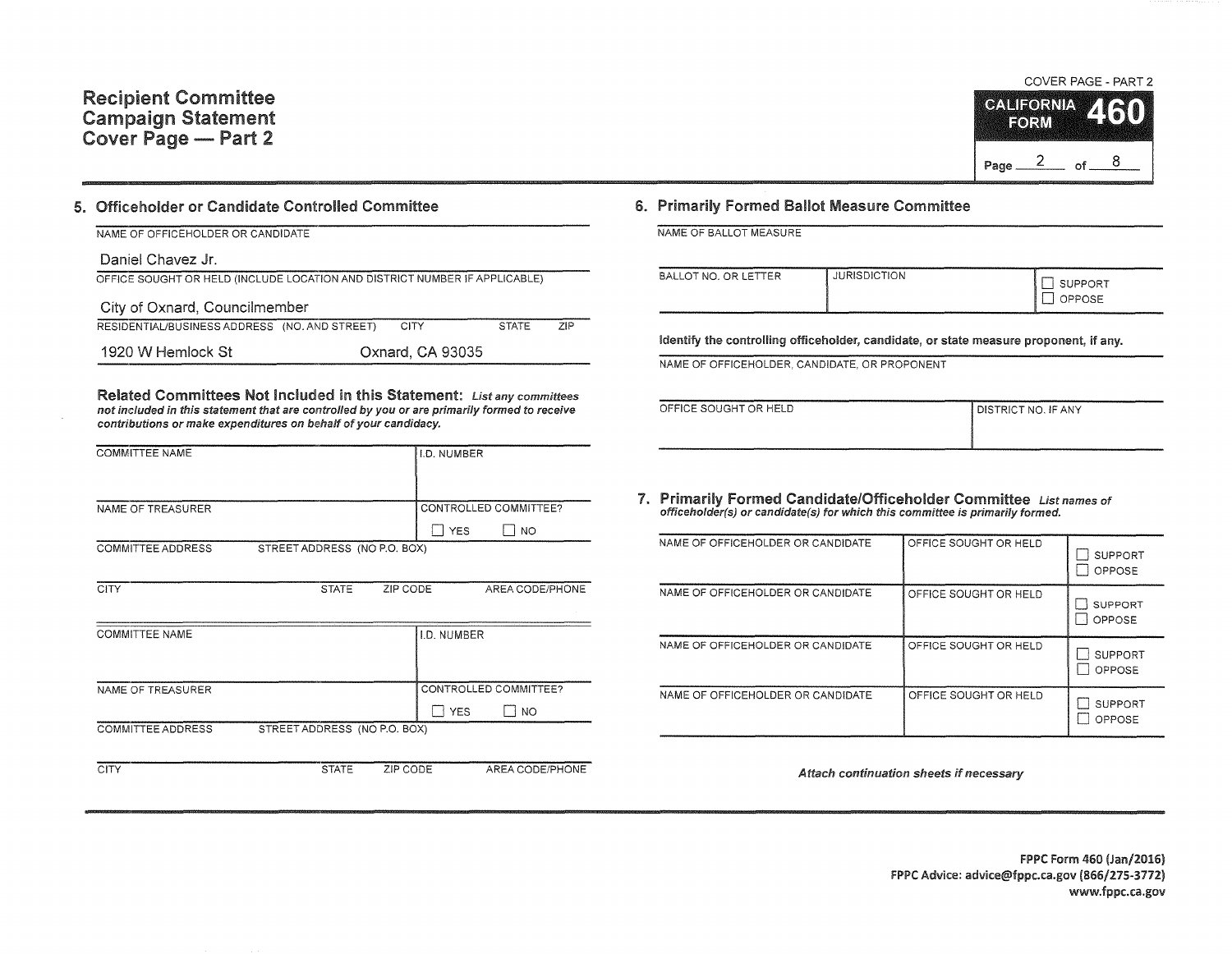#### 5. Officeholder or Candidate Controlled Committee

| NAME OF OFFICEHOLDER OR CANDIDATE                                          |  |                  |              |            |  |
|----------------------------------------------------------------------------|--|------------------|--------------|------------|--|
| Daniel Chavez Jr.                                                          |  |                  |              |            |  |
| OFFICE SOUGHT OR HELD (INCLUDE LOCATION AND DISTRICT NUMBER IF APPLICABLE) |  |                  |              |            |  |
| City of Oxnard, Councilmember                                              |  |                  |              |            |  |
| RESIDENTIAL/BUSINESS ADDRESS (NO. AND STREET)                              |  | <b>CITY</b>      | <b>STATE</b> | <b>ZIP</b> |  |
| 1920 W Hemlock St                                                          |  | Oxnard, CA 93035 |              |            |  |

Related Committees Not Included in this Statement: List any committees not included in this statement that are controlled by you or are primarily formed to receive contributions or make expenditures on behalf of your candidacy.

| <b>COMMITTEE NAME</b> |                              | <b>I.D. NUMBER</b> |                       |
|-----------------------|------------------------------|--------------------|-----------------------|
|                       |                              |                    |                       |
| NAME OF TREASURER     |                              |                    | CONTROLLED COMMITTEE? |
|                       |                              | <b>YES</b>         | NO                    |
| COMMITTEE ADDRESS     | STREET ADDRESS (NO P.O. BOX) |                    |                       |
|                       |                              |                    |                       |

| CITY                  | <b>STATE</b>                 | ZIP CODE    | AREA CODE/PHONE       |
|-----------------------|------------------------------|-------------|-----------------------|
| <b>COMMITTEE NAME</b> |                              | I.D. NUMBER |                       |
|                       |                              |             |                       |
|                       |                              |             |                       |
| NAME OF TREASURER     |                              |             | CONTROLLED COMMITTEE? |
|                       |                              | <b>YES</b>  | <b>NO</b>             |
| COMMITTEE ADDRESS     | STREET ADDRESS (NO P.O. BOX) |             |                       |
|                       |                              |             |                       |
| <b>CITY</b>           | <b>STATE</b>                 | ZIP CODE    | AREA CODE/PHONE       |

### COVER PAGE - PART 2 CALIFORNIA **RORM**

#### 6. Primarily Formed Ballot Measure Committee

|  |  | NAME OF BALLOT MEASURE |  |
|--|--|------------------------|--|
|  |  |                        |  |

| BALLOT NO. OR LETTER | <b>JURISDICTION</b> | SUPPORT<br>OPPOSE<br>- |
|----------------------|---------------------|------------------------|
|----------------------|---------------------|------------------------|

Identify the controlling officeholder, candidate, or state measure proponent, if any.

NAME OF OFFICEHOLDER, CANDIDATE, OR PROPONENT

| OFFICE SOUGHT OR HELD | I DISTRICT NO. IF ANY |
|-----------------------|-----------------------|
|                       |                       |
|                       |                       |

1. Primarily Formed Candidate/Officeholder Committee List names of officeholder(s) or candidate(s) for which this committee is primarily formed.

| NAME OF OFFICEHOLDER OR CANDIDATE | OFFICE SOUGHT OR HELD | <b>SUPPORT</b><br>OPPOSE |
|-----------------------------------|-----------------------|--------------------------|
| NAME OF OFFICEHOLDER OR CANDIDATE | OFFICE SOUGHT OR HELD | <b>SUPPORT</b><br>OPPOSE |
| NAME OF OFFICEHOLDER OR CANDIDATE | OFFICE SOUGHT OR HELD | <b>SUPPORT</b><br>OPPOSE |
| NAME OF OFFICEHOLDER OR CANDIDATE | OFFICE SOUGHT OR HELD | <b>SUPPORT</b><br>OPPOSE |

*Attach continuation* sheets if *necessary*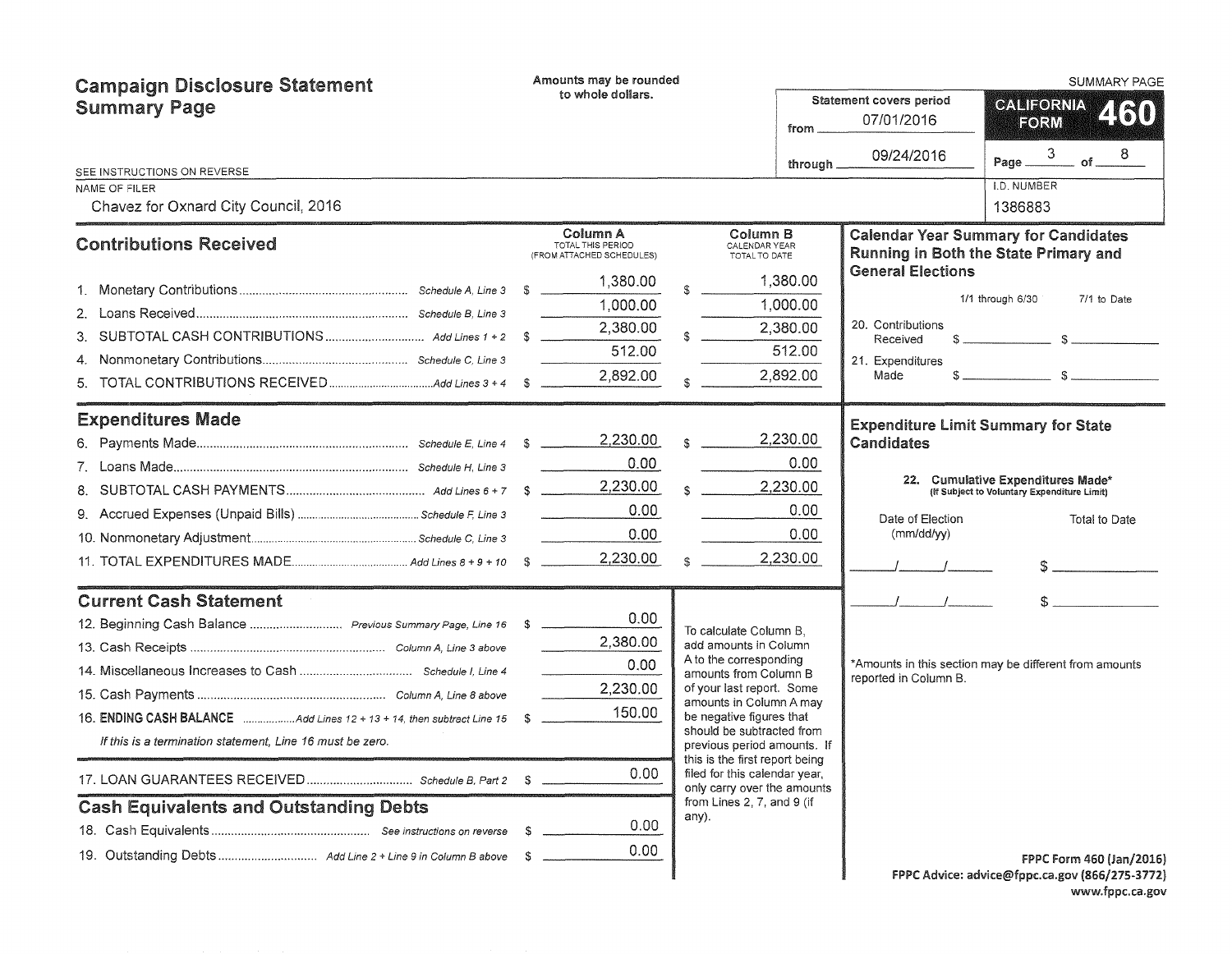| <b>Campaign Disclosure Statement</b>                                  |  | Amounts may be rounded                                     |  |                                                                                                |          |                                       | <b>SUMMARY PAGE</b>                                                                  |  |  |
|-----------------------------------------------------------------------|--|------------------------------------------------------------|--|------------------------------------------------------------------------------------------------|----------|---------------------------------------|--------------------------------------------------------------------------------------|--|--|
| <b>Summary Page</b>                                                   |  | to whole dollars.<br>from                                  |  |                                                                                                |          | Statement covers period<br>07/01/2016 | CALIFORNIA<br>2130<br>FORM                                                           |  |  |
|                                                                       |  |                                                            |  |                                                                                                | through. | 09/24/2016                            | 3<br>8<br>$of_{-}$<br>Page                                                           |  |  |
| SEE INSTRUCTIONS ON REVERSE<br>NAME OF FILER                          |  |                                                            |  |                                                                                                |          |                                       | I.D. NUMBER                                                                          |  |  |
| Chavez for Oxnard City Council, 2016                                  |  |                                                            |  |                                                                                                |          |                                       | 1386883                                                                              |  |  |
| <b>Contributions Received</b>                                         |  | Column A<br>TOTAL THIS PERIOD<br>(FROM ATTACHED SCHEDULES) |  | Column B<br>CALENDAR YEAR<br>TOTAL TO DATE                                                     |          |                                       | <b>Calendar Year Summary for Candidates</b><br>Running in Both the State Primary and |  |  |
|                                                                       |  | 1,380.00                                                   |  |                                                                                                | 1,380.00 | <b>General Elections</b>              |                                                                                      |  |  |
|                                                                       |  | 1,000.00                                                   |  |                                                                                                | 1,000.00 |                                       | 1/1 through 6/30<br>7/1 to Date                                                      |  |  |
|                                                                       |  | 2,380.00                                                   |  |                                                                                                | 2,380.00 | 20. Contributions                     |                                                                                      |  |  |
| 3.                                                                    |  | 512.00                                                     |  |                                                                                                | 512.00   | Received                              |                                                                                      |  |  |
| 4.<br>5.                                                              |  | 2,892.00                                                   |  |                                                                                                | 2,892.00 | 21. Expenditures<br>Made              |                                                                                      |  |  |
| <b>Expenditures Made</b>                                              |  |                                                            |  |                                                                                                |          |                                       | <b>Expenditure Limit Summary for State</b>                                           |  |  |
|                                                                       |  | 2,230.00                                                   |  |                                                                                                | 2,230.00 | Candidates                            |                                                                                      |  |  |
|                                                                       |  | 0.00                                                       |  |                                                                                                | 0.00     |                                       |                                                                                      |  |  |
|                                                                       |  | 2,230.00                                                   |  |                                                                                                | 2,230.00 |                                       | 22. Cumulative Expenditures Made*<br>(If Subject to Voluntary Expenditure Limit)     |  |  |
|                                                                       |  | 0.00                                                       |  |                                                                                                | 0.00     | Date of Election                      | Total to Date                                                                        |  |  |
|                                                                       |  | 0.00                                                       |  |                                                                                                | 0.00     | (mm/dd/yy)                            |                                                                                      |  |  |
|                                                                       |  | 2,230.00                                                   |  |                                                                                                | 2,230.00 |                                       |                                                                                      |  |  |
| <b>Current Cash Statement</b>                                         |  |                                                            |  |                                                                                                |          |                                       |                                                                                      |  |  |
|                                                                       |  | 0.00                                                       |  | To calculate Column B,                                                                         |          |                                       |                                                                                      |  |  |
|                                                                       |  | 2,380.00                                                   |  | add amounts in Column                                                                          |          |                                       |                                                                                      |  |  |
|                                                                       |  | 0.00                                                       |  | A to the corresponding<br>amounts from Column B                                                |          |                                       | *Amounts in this section may be different from amounts                               |  |  |
|                                                                       |  | 2,230.00                                                   |  | of your last report. Some                                                                      |          | reported in Column B.                 |                                                                                      |  |  |
| 16. ENDING CASH BALANCE Add Lines 12 + 13 + 14, then subtract Line 15 |  | 150.00                                                     |  | amounts in Column A may<br>be negative figures that                                            |          |                                       |                                                                                      |  |  |
| If this is a termination statement, Line 16 must be zero.             |  |                                                            |  | should be subtracted from<br>previous period amounts. If                                       |          |                                       |                                                                                      |  |  |
|                                                                       |  | 0.00                                                       |  | this is the first report being<br>filed for this calendar year,<br>only carry over the amounts |          |                                       |                                                                                      |  |  |
| <b>Cash Equivalents and Outstanding Debts</b>                         |  |                                                            |  | from Lines 2, 7, and 9 (if<br>any).                                                            |          |                                       |                                                                                      |  |  |
|                                                                       |  | 0.00                                                       |  |                                                                                                |          |                                       |                                                                                      |  |  |
|                                                                       |  | 0.00 <sub>1</sub>                                          |  |                                                                                                |          |                                       | FPPC Form 460 (Jan/2016)                                                             |  |  |
|                                                                       |  |                                                            |  |                                                                                                |          |                                       | FPPC Advice: advice@fppc.ca.gov (866/275-3772)                                       |  |  |

FPPC Advice: advice@fppc.ca.gov {866/275-3772) www.fppc.ca.gov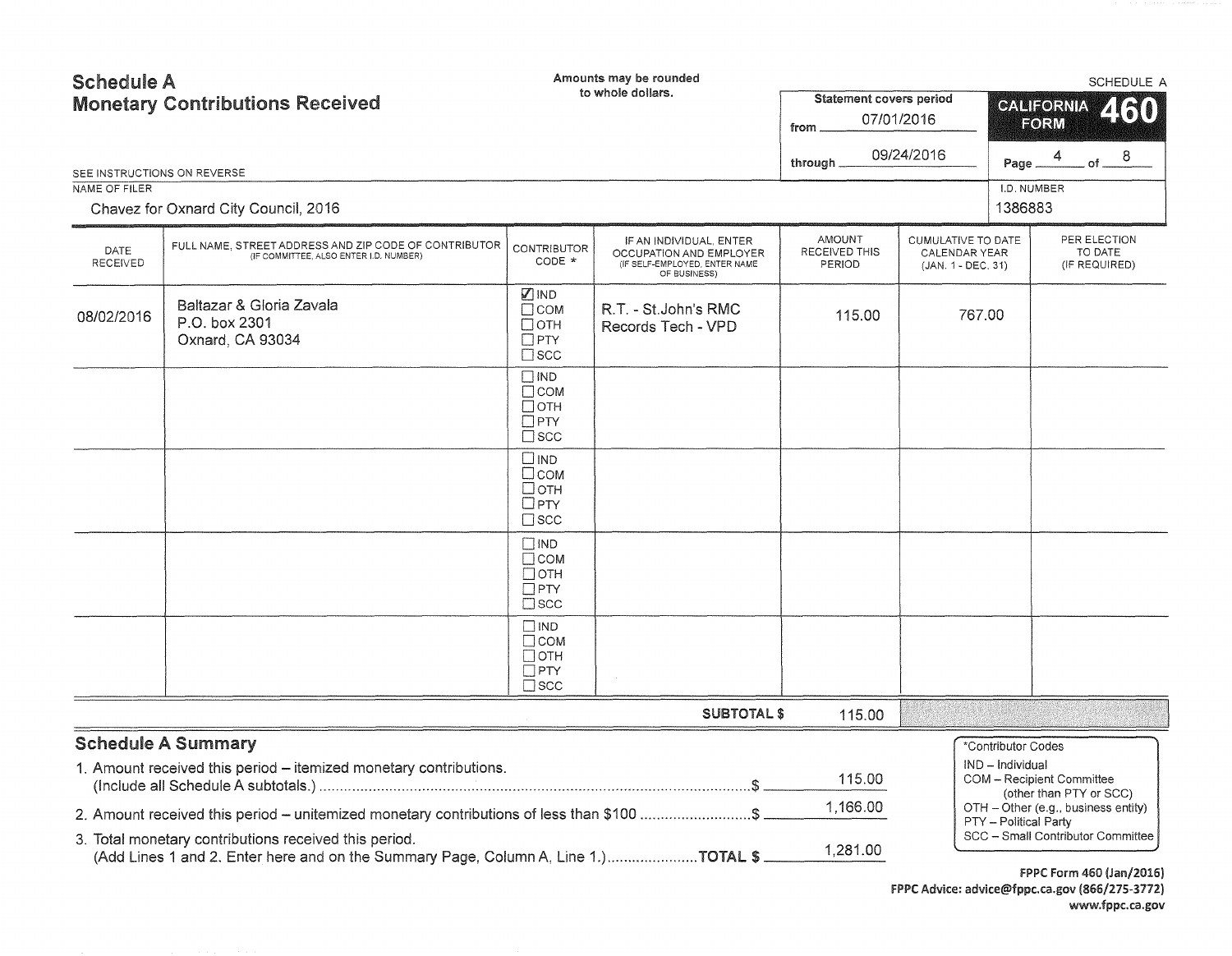|                                | Amounts may be rounded<br><b>Schedule A</b><br>to whole dollars.<br><b>Monetary Contributions Received</b>                                                                                 |                                                                          |                                                                                                     | <b>Statement covers period</b><br>from<br>through _ | 07/01/2016<br>09/24/2016                                  | <b>SCHEDULE A</b><br>260<br><b>CALIFORNIA</b><br>FORM<br>of $8$<br>4<br>Page |                                                                                             |  |
|--------------------------------|--------------------------------------------------------------------------------------------------------------------------------------------------------------------------------------------|--------------------------------------------------------------------------|-----------------------------------------------------------------------------------------------------|-----------------------------------------------------|-----------------------------------------------------------|------------------------------------------------------------------------------|---------------------------------------------------------------------------------------------|--|
| NAME OF FILER                  | SEE INSTRUCTIONS ON REVERSE                                                                                                                                                                |                                                                          |                                                                                                     |                                                     |                                                           | I.D. NUMBER                                                                  |                                                                                             |  |
|                                | Chavez for Oxnard City Council, 2016                                                                                                                                                       |                                                                          |                                                                                                     |                                                     |                                                           | 1386883                                                                      |                                                                                             |  |
| <b>DATE</b><br><b>RECEIVED</b> | FULL NAME, STREET ADDRESS AND ZIP CODE OF CONTRIBUTOR<br>(IF COMMITTEE, ALSO ENTER I.D. NUMBER)                                                                                            | <b>CONTRIBUTOR</b><br>CODE *                                             | IF AN INDIVIDUAL, ENTER<br>OCCUPATION AND EMPLOYER<br>(IF SELF-EMPLOYED, ENTER NAME<br>OF BUSINESS) | <b>AMOUNT</b><br>RECEIVED THIS<br><b>PERIOD</b>     | CUMULATIVE TO DATE<br>CALENDAR YEAR<br>(JAN. 1 - DEC. 31) |                                                                              | PER ELECTION<br>TO DATE<br>(IF REQUIRED)                                                    |  |
| 08/02/2016                     | Baltazar & Gloria Zavala<br>P.O. box 2301<br>Oxnard, CA 93034                                                                                                                              | <b>Ø</b> IND<br>$\Box$ COM<br>$\Box$ OTH<br>$\Box$ PTY<br>$\square$ scc  | R.T. - St.John's RMC<br>Records Tech - VPD                                                          | 115.00                                              |                                                           | 767.00                                                                       |                                                                                             |  |
|                                |                                                                                                                                                                                            | $\square$ IND<br>$\Box$ COM<br>$\Box$ OTH<br>$\Box$ PTY<br>$\square$ scc |                                                                                                     |                                                     |                                                           |                                                                              |                                                                                             |  |
|                                |                                                                                                                                                                                            | $\square$ IND<br>□сом<br>$\Box$ OTH<br>$\Box$ PTY<br>$\square$ scc       |                                                                                                     |                                                     |                                                           |                                                                              |                                                                                             |  |
|                                |                                                                                                                                                                                            | $\square$ IND<br>$\Box$ COM<br>$\Box$ OTH<br>$\Box$ PTY<br>$\square$ scc |                                                                                                     |                                                     |                                                           |                                                                              |                                                                                             |  |
|                                |                                                                                                                                                                                            | $\square$ IND<br>$\Box$ COM<br>$\Box$ OTH<br>$\Box$ PTY<br>$\square$ scc |                                                                                                     |                                                     |                                                           |                                                                              |                                                                                             |  |
|                                |                                                                                                                                                                                            |                                                                          | <b>SUBTOTAL \$</b>                                                                                  | 115.00                                              |                                                           |                                                                              |                                                                                             |  |
|                                | <b>Schedule A Summary</b><br>1. Amount received this period - itemized monetary contributions.<br>2. Amount received this period - unitemized monetary contributions of less than \$100 \$ |                                                                          |                                                                                                     | 115.00<br>1,166.00                                  |                                                           | *Contributor Codes<br>IND - Individual                                       | COM - Recipient Committee<br>(other than PTY or SCC)<br>OTH - Other (e.g., business entity) |  |
|                                | 3. Total monetary contributions received this period.<br>(Add Lines 1 and 2. Enter here and on the Summary Page, Column A, Line 1.)TOTAL \$                                                |                                                                          |                                                                                                     | 1,281.00                                            |                                                           | PTY - Political Party                                                        | SCC - Small Contributor Committee                                                           |  |
|                                |                                                                                                                                                                                            |                                                                          |                                                                                                     |                                                     |                                                           |                                                                              | FPPC Form 460 (Jan/2016)                                                                    |  |

FPPC Advice: advice@fppc.ca.gov {866/275-3772) www.fppc.ca.gov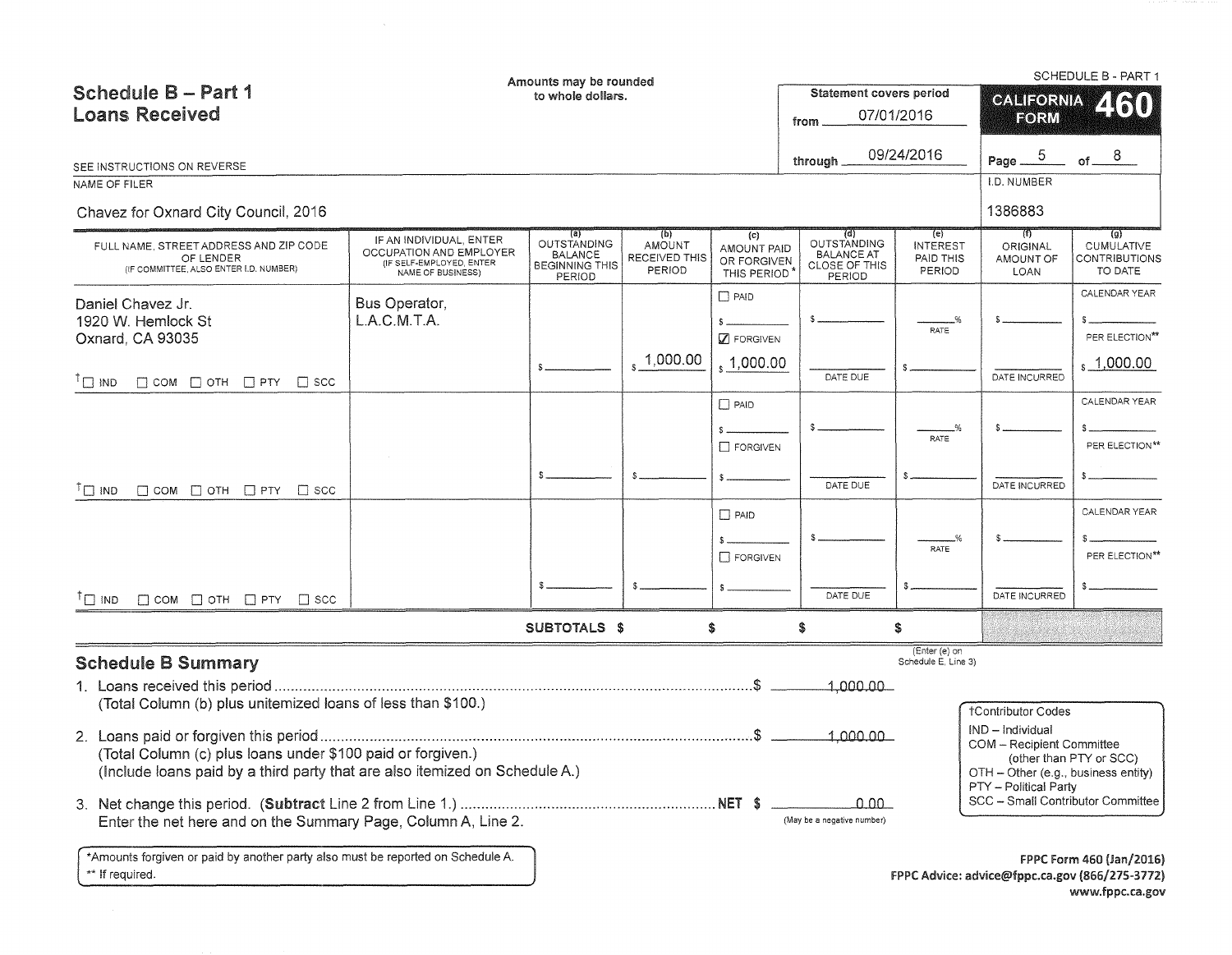| <b>Schedule B - Part 1</b><br><b>Loans Received</b>                                                                                                                                                         |                                                                                                     | Amounts may be rounded<br>to whole dollars.                             |                                                 |                                                     | Statement covers period<br>from                                           | 07/01/2016                                    | <b>GALIFORNIA</b><br>FORM                                                                                                                          | SCHEDULE B - PART 1<br>2160                                                                   |
|-------------------------------------------------------------------------------------------------------------------------------------------------------------------------------------------------------------|-----------------------------------------------------------------------------------------------------|-------------------------------------------------------------------------|-------------------------------------------------|-----------------------------------------------------|---------------------------------------------------------------------------|-----------------------------------------------|----------------------------------------------------------------------------------------------------------------------------------------------------|-----------------------------------------------------------------------------------------------|
| SEE INSTRUCTIONS ON REVERSE                                                                                                                                                                                 |                                                                                                     |                                                                         |                                                 |                                                     | through                                                                   | 09/24/2016                                    | $\overline{5}$<br>Page __<br>I.D. NUMBER                                                                                                           | of $8$                                                                                        |
| NAME OF FILER<br>Chavez for Oxnard City Council, 2016                                                                                                                                                       |                                                                                                     |                                                                         |                                                 |                                                     |                                                                           |                                               | 1386883                                                                                                                                            |                                                                                               |
| FULL NAME, STREET ADDRESS AND ZIP CODE<br>OF LENDER<br>(IF COMMITTEE, ALSO ENTER I.D. NUMBER)                                                                                                               | IF AN INDIVIDUAL, ENTER<br>OCCUPATION AND EMPLOYER<br>(IF SELF-EMPLOYED, ENTER<br>NAME OF BUSINESS) | (a)<br>OUTSTANDING<br><b>BALANCE</b><br><b>BEGINNING THIS</b><br>PERIOD | (b)<br><b>AMOUNT</b><br>RECEIVED THIS<br>PERIOD | (c)<br>AMOUNT PAID<br>OR FORGIVEN<br>THIS PERIOD    | (q)<br><b>OUTSTANDING</b><br><b>BALANCE AT</b><br>CLOSE OF THIS<br>PERIOD | (e)<br><b>INTEREST</b><br>PAID THIS<br>PERIOD | 711)<br>ORIGINAL<br>AMOUNT OF<br>LOAN                                                                                                              | (g)<br><b>CUMULATIVE</b><br>CONTRIBUTIONS<br>TO DATE                                          |
| Daniel Chavez Jr.<br>1920 W. Hemlock St<br>Oxnard, CA 93035                                                                                                                                                 | Bus Operator,<br>L.A.C.M.T.A.                                                                       |                                                                         | $\frac{1}{1000.00}$                             | $\Box$ PAID<br><b>Z</b> FORGIVEN<br>$\,$ , 1,000.00 | DATE DUE                                                                  | _%<br>RATE                                    | DATE INCURRED                                                                                                                                      | CALENDAR YEAR<br>PER ELECTION**<br>, 1,000.00                                                 |
| $\bigcap$ IND<br>$\Box$ COM $\Box$ OTH $\Box$ PTY $\Box$ SCC                                                                                                                                                |                                                                                                     |                                                                         |                                                 | $\Box$ PAID<br>FORGIVEN                             |                                                                           | RATE                                          |                                                                                                                                                    | CALENDAR YEAR<br>PER ELECTION**                                                               |
| $\Box$ COM $\Box$ OTH $\Box$ PTY $\Box$ SCC<br>$\Box$ IND                                                                                                                                                   |                                                                                                     |                                                                         |                                                 | $\Box$ PAID                                         | DATE DUE                                                                  |                                               | DATE INCURRED                                                                                                                                      | CALENDAR YEAR                                                                                 |
|                                                                                                                                                                                                             |                                                                                                     |                                                                         |                                                 | $\Box$ FORGIVEN                                     |                                                                           | RATE                                          |                                                                                                                                                    | PER ELECTION**                                                                                |
| $\Box$ COM $\Box$ OTH $\Box$ PTY $\Box$ SCC<br><sup>I</sup> IND                                                                                                                                             |                                                                                                     |                                                                         |                                                 |                                                     | DATE DUE                                                                  |                                               | DATE INCURRED                                                                                                                                      |                                                                                               |
|                                                                                                                                                                                                             |                                                                                                     | SUBTOTALS \$                                                            |                                                 | \$                                                  | \$                                                                        | \$                                            |                                                                                                                                                    |                                                                                               |
| <b>Schedule B Summary</b><br>(Total Column (b) plus unitemized loans of less than \$100.)                                                                                                                   |                                                                                                     |                                                                         |                                                 |                                                     | 1,000.00                                                                  | (Enter (e) on<br>Schedule E, Line 3)          | †Contributor Codes                                                                                                                                 |                                                                                               |
| (Total Column (c) plus loans under \$100 paid or forgiven.)<br>(Include loans paid by a third party that are also itemized on Schedule A.)<br>Enter the net here and on the Summary Page, Column A, Line 2. |                                                                                                     |                                                                         |                                                 |                                                     | 1.000.00<br>$0.00 -$<br>(May be a negative number)                        |                                               | IND - Individual<br>COM - Recipient Committee<br>OTH - Other (e.g., business entity)<br>PTY - Political Party<br>SCC - Small Contributor Committee | (other than PTY or SCC)                                                                       |
| *Amounts forgiven or paid by another party also must be reported on Schedule A.<br>** If required.                                                                                                          |                                                                                                     |                                                                         |                                                 |                                                     |                                                                           |                                               |                                                                                                                                                    | FPPC Form 460 (Jan/2016)<br>FPPC Advice: advice@fppc.ca.gov (866/275-3772)<br>www.fppc.ca.gov |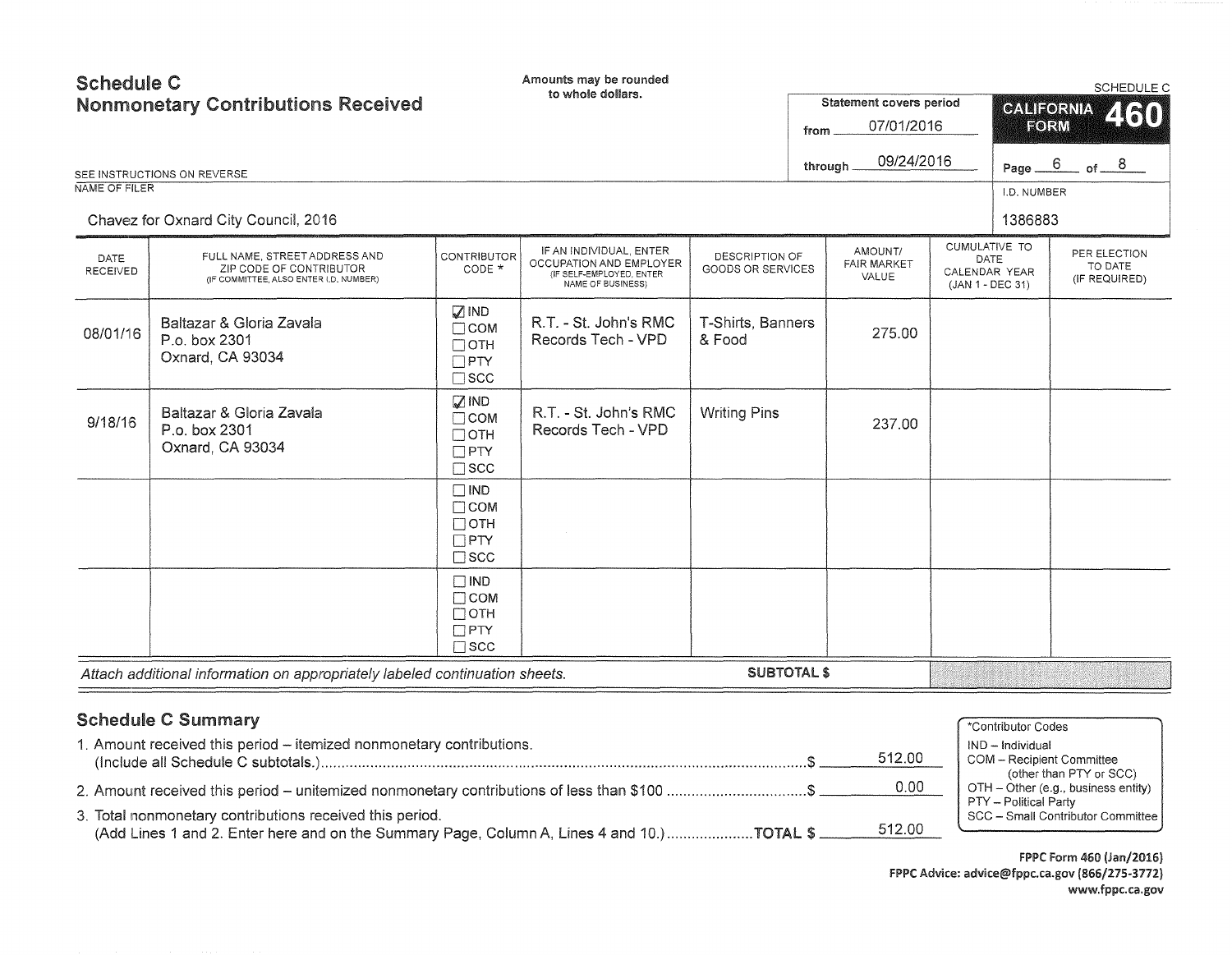| <b>Schedule C</b><br>NAME OF FILER | <b>Nonmonetary Contributions Received</b><br>SEE INSTRUCTIONS ON REVERSE<br>Chavez for Oxnard City Council, 2016 |                                                                              | Amounts may be rounded<br>to whole dollars.                                                         |                                     | from | Statement covers period<br>07/01/2016<br>09/24/2016<br>through |                                                            | <b>CALIFORNIA</b><br>FORM<br>Page _<br>I.D. NUMBER<br>1386883 | SCHEDULE C<br>460<br>$6 \overline{}$<br>of $8$ |
|------------------------------------|------------------------------------------------------------------------------------------------------------------|------------------------------------------------------------------------------|-----------------------------------------------------------------------------------------------------|-------------------------------------|------|----------------------------------------------------------------|------------------------------------------------------------|---------------------------------------------------------------|------------------------------------------------|
| DATE<br><b>RECEIVED</b>            | FULL NAME, STREET ADDRESS AND<br>ZIP CODE OF CONTRIBUTOR<br>(IF COMMITTEE, ALSO ENTER I.D. NUMBER)               | <b>CONTRIBUTOR</b><br>CODE *                                                 | IF AN INDIVIDUAL, ENTER<br>OCCUPATION AND EMPLOYER<br>(IF SELF-EMPLOYED, ENTER<br>NAME OF BUSINESS) | DESCRIPTION OF<br>GOODS OR SERVICES |      | AMOUNT/<br><b>FAIR MARKET</b><br>VALUE                         | CUMULATIVE TO<br>DATE<br>CALENDAR YEAR<br>(JAN 1 - DEC 31) |                                                               | PER ELECTION<br>TO DATE<br>(IF REQUIRED)       |
| 08/01/16                           | Baltazar & Gloria Zavala<br>P.o. box 2301<br>Oxnard, CA 93034                                                    | $\square$ IND<br>$\Box$ COM<br>$\Box$ OTH<br>$\square$ PTY<br>$\square$ scc  | R.T. - St. John's RMC<br>Records Tech - VPD                                                         | T-Shirts, Banners<br>& Food         |      | 275.00                                                         |                                                            |                                                               |                                                |
| 9/18/16                            | Baltazar & Gloria Zavala<br>P.o. box 2301<br>Oxnard, CA 93034                                                    | $\sqrt{2}$ IND<br>$\Box$ COM<br>$\Box$ OTH<br>$\square$ PTY<br>$\square$ SCC | R.T. - St. John's RMC<br>Records Tech - VPD                                                         | <b>Writing Pins</b>                 |      | 237.00                                                         |                                                            |                                                               |                                                |
|                                    |                                                                                                                  | $\square$ IND<br>$\Box$ COM<br>$\Box$ OTH<br>$\Box$ PTY<br>$\square$ scc     |                                                                                                     |                                     |      |                                                                |                                                            |                                                               |                                                |
|                                    |                                                                                                                  | $\Box$ IND<br>$\Box$ COM<br>$\Box$ OTH<br>$\Box$ PTY<br>$\square$ scc        |                                                                                                     |                                     |      |                                                                |                                                            |                                                               |                                                |
|                                    | Attach additional information on appropriately labeled continuation sheets.                                      |                                                                              |                                                                                                     | <b>SUBTOTAL \$</b>                  |      |                                                                |                                                            |                                                               |                                                |

# Schedule C Summary

| <b>Schedule C Summary</b>                                                                                                                                |        | *Contributor Codes                                             |
|----------------------------------------------------------------------------------------------------------------------------------------------------------|--------|----------------------------------------------------------------|
| 1. Amount received this period – itemized nonmonetary contributions.                                                                                     | 512.00 | IND - Individual<br>COM - Recipient Committee                  |
| 2. Amount received this period – unitemized nonmonetary contributions of less than \$100 \$                                                              | 0.00   | (other than PTY or SCC)<br>OTH - Other (e.g., business entity) |
| 3. Total nonmonetary contributions received this period.<br>(Add Lines 1 and 2. Enter here and on the Summary Page, Column A, Lines 4 and 10.) TOTAL \$. | 512.00 | PTY - Political Party<br>SCC - Small Contributor Committee I   |

FPPC Form 460 (Jan/2016) FPPC Advice: advice@fppc.ca.gov (866/215-3772) www.fppc.ca.gov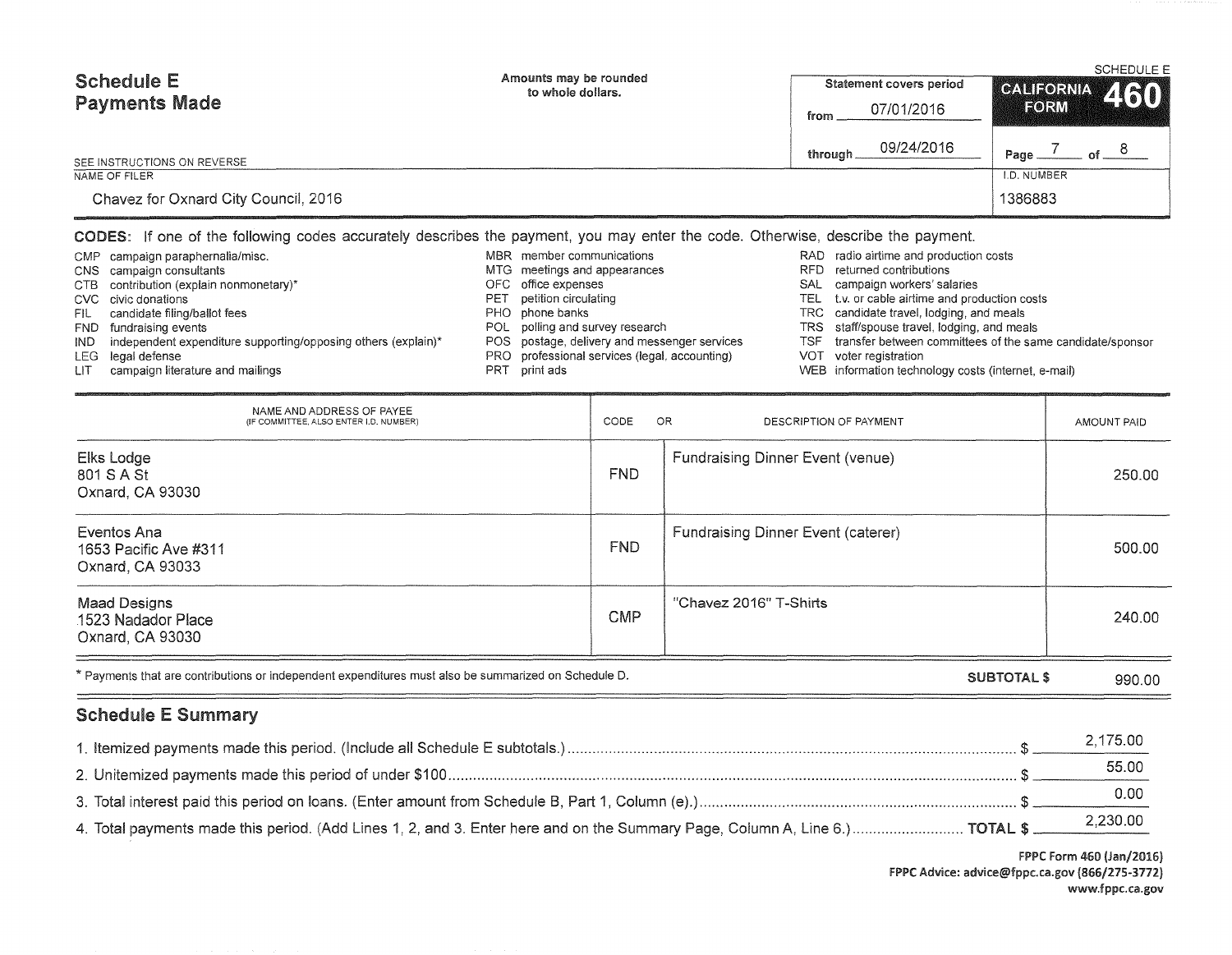| <b>Schedule E</b><br><b>Payments Made</b> | Amounts may be rounded<br>to whole dollars. | Statement covers period<br>07/01/2016<br>from | <b>SCHEDULE E</b><br>CALIFORNIA 460<br>FORM |
|-------------------------------------------|---------------------------------------------|-----------------------------------------------|---------------------------------------------|
| SEE INSTRUCTIONS ON REVERSE               |                                             | 09/24/2016<br>through.                        | Page.                                       |
| NAME OF FILER                             |                                             |                                               | I.D. NUMBER                                 |
| Chavez for Oxnard City Council, 2016      |                                             |                                               | 1386883                                     |

### CODES: If one of the following codes accurately describes the payment, you may enter the code. Otherwise, describe the payment.

| NAME AND ADDRESS OF PAYEE<br>(IF COMMITTEE, ALSO ENTER I.D. NUMBER) | CODE       | OR.<br>DESCRIPTION OF PAYMENT             | AMOUNT PAID |
|---------------------------------------------------------------------|------------|-------------------------------------------|-------------|
| Elks Lodge<br>801 S A St<br>Oxnard, CA 93030                        | <b>FND</b> | <b>Fundraising Dinner Event (venue)</b>   | 250.00      |
| Eventos Ana<br>1653 Pacific Ave #311<br>Oxnard, CA 93033            | <b>FND</b> | <b>Fundraising Dinner Event (caterer)</b> | 500.00      |
| <b>Maad Designs</b><br>1523 Nadador Place<br>Oxnard, CA 93030       | <b>CMP</b> | "Chavez 2016" T-Shirts                    | 240.00      |

| * Payments that are contributions or independent expenditures must also be summarized on Schedule D. | SUBTOTAL<br>990.00 |
|------------------------------------------------------------------------------------------------------|--------------------|
|------------------------------------------------------------------------------------------------------|--------------------|

# Schedule E Summary

| 2,175.00 |
|----------|
| 55.00    |
|          |
|          |